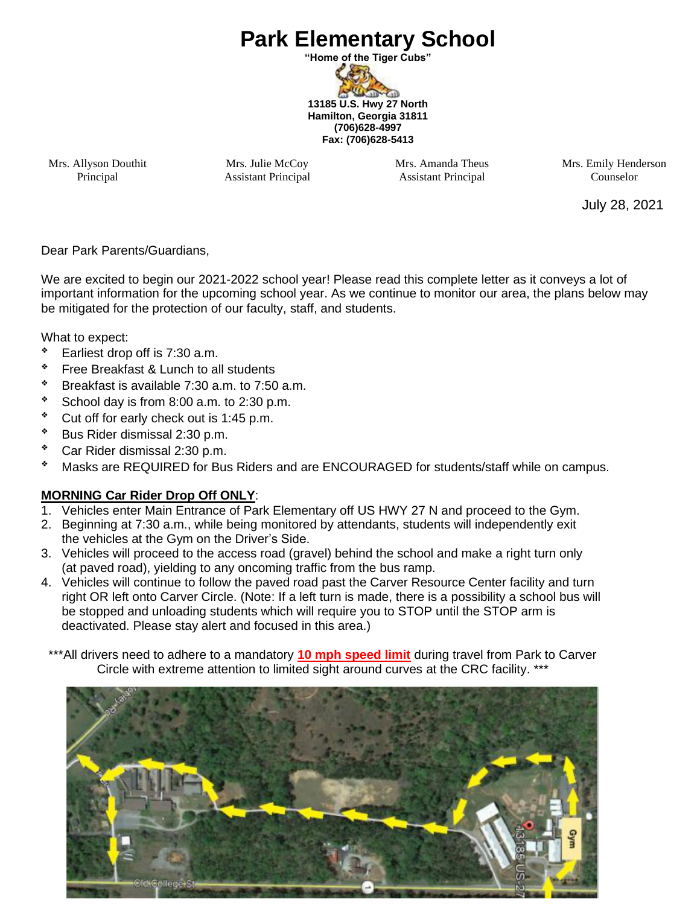# **Park Elementary School**

**"Home of the Tiger Cubs"** D-GD **13185 U.S. Hwy 27 North Hamilton, Georgia 31811 (706)628-4997 Fax: (706)628-5413**

Mrs. Allyson Douthit Principal

Mrs. Julie McCoy Assistant Principal Mrs. Amanda Theus Assistant Principal

Mrs. Emily Henderson Counselor

July 28, 2021

Dear Park Parents/Guardians,

We are excited to begin our 2021-2022 school year! Please read this complete letter as it conveys a lot of important information for the upcoming school year. As we continue to monitor our area, the plans below may be mitigated for the protection of our faculty, staff, and students.

What to expect:

- ❖ Earliest drop off is 7:30 a.m.
- ❖ Free Breakfast & Lunch to all students
- ❖ Breakfast is available 7:30 a.m. to 7:50 a.m.
- ❖ School day is from 8:00 a.m. to 2:30 p.m.
- ❖ Cut off for early check out is 1:45 p.m.
- ❖ Bus Rider dismissal 2:30 p.m.
- ❖ Car Rider dismissal 2:30 p.m.
- ❖ Masks are REQUIRED for Bus Riders and are ENCOURAGED for students/staff while on campus.

#### **MORNING Car Rider Drop Off ONLY**:

- 1. Vehicles enter Main Entrance of Park Elementary off US HWY 27 N and proceed to the Gym.
- 2. Beginning at 7:30 a.m., while being monitored by attendants, students will independently exit the vehicles at the Gym on the Driver's Side.
- 3. Vehicles will proceed to the access road (gravel) behind the school and make a right turn only (at paved road), yielding to any oncoming traffic from the bus ramp.
- 4. Vehicles will continue to follow the paved road past the Carver Resource Center facility and turn right OR left onto Carver Circle. (Note: If a left turn is made, there is a possibility a school bus will be stopped and unloading students which will require you to STOP until the STOP arm is deactivated. Please stay alert and focused in this area.)
- \*\*\*All drivers need to adhere to a mandatory 10 mph speed limit during travel from Park to Carver Circle with extreme attention to limited sight around curves at the CRC facility. \*\*\*

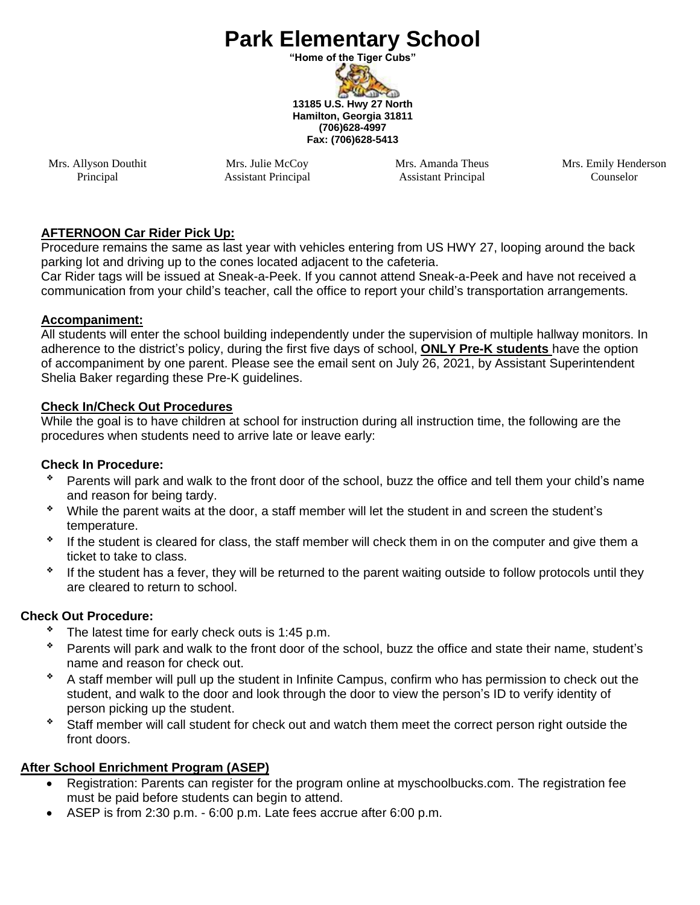# **Park Elementary School**

**"Home of the Tiger Cubs"**

**WEB-GB 13185 U.S. Hwy 27 North Hamilton, Georgia 31811 (706)628-4997 Fax: (706)628-5413**

Mrs. Allyson Douthit Principal

Mrs. Julie McCoy Assistant Principal Mrs. Amanda Theus Assistant Principal

Mrs. Emily Henderson Counselor

#### **AFTERNOON Car Rider Pick Up:**

Procedure remains the same as last year with vehicles entering from US HWY 27, looping around the back parking lot and driving up to the cones located adjacent to the cafeteria.

Car Rider tags will be issued at Sneak-a-Peek. If you cannot attend Sneak-a-Peek and have not received a communication from your child's teacher, call the office to report your child's transportation arrangements.

#### **Accompaniment:**

All students will enter the school building independently under the supervision of multiple hallway monitors. In adherence to the district's policy, during the first five days of school, **ONLY Pre-K students** have the option of accompaniment by one parent. Please see the email sent on July 26, 2021, by Assistant Superintendent Shelia Baker regarding these Pre-K guidelines.

#### **Check In/Check Out Procedures**

While the goal is to have children at school for instruction during all instruction time, the following are the procedures when students need to arrive late or leave early:

#### **Check In Procedure:**

- Parents will park and walk to the front door of the school, buzz the office and tell them your child's name and reason for being tardy.
- ❖ While the parent waits at the door, a staff member will let the student in and screen the student's temperature.
- ❖ If the student is cleared for class, the staff member will check them in on the computer and give them a ticket to take to class.
- ❖ If the student has a fever, they will be returned to the parent waiting outside to follow protocols until they are cleared to return to school.

#### **Check Out Procedure:**

- ❖ The latest time for early check outs is 1:45 p.m.
- ❖ Parents will park and walk to the front door of the school, buzz the office and state their name, student's name and reason for check out.
- ❖ A staff member will pull up the student in Infinite Campus, confirm who has permission to check out the student, and walk to the door and look through the door to view the person's ID to verify identity of person picking up the student.
- ❖ Staff member will call student for check out and watch them meet the correct person right outside the front doors.

### **After School Enrichment Program (ASEP)**

- Registration: Parents can register for the program online at myschoolbucks.com. The registration fee must be paid before students can begin to attend.
- ASEP is from 2:30 p.m. 6:00 p.m. Late fees accrue after 6:00 p.m.